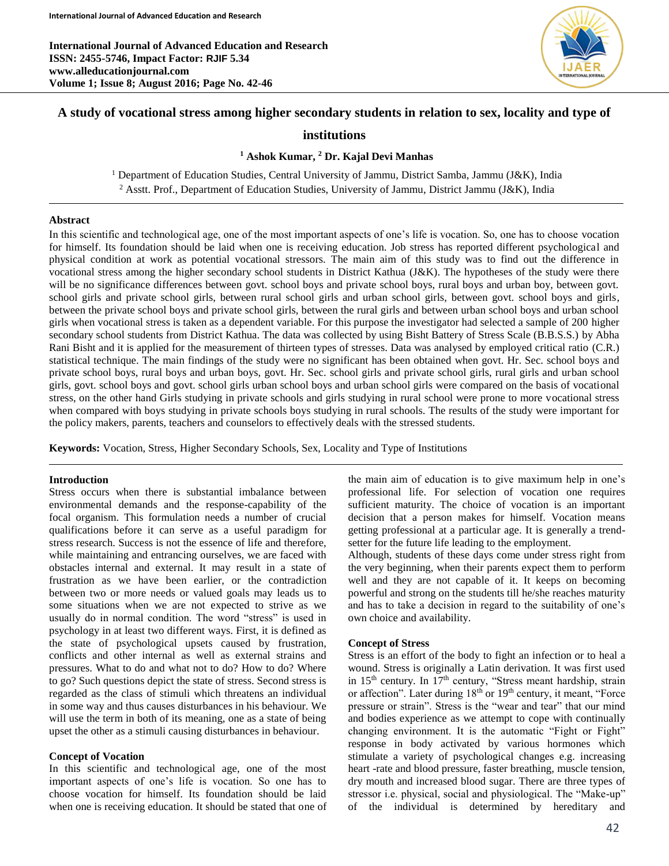**International Journal of Advanced Education and Research ISSN: 2455-5746, Impact Factor: RJIF 5.34 www.alleducationjournal.com Volume 1; Issue 8; August 2016; Page No. 42-46**



# **A study of vocational stress among higher secondary students in relation to sex, locality and type of**

# **institutions**

### **<sup>1</sup> Ashok Kumar, <sup>2</sup> Dr. Kajal Devi Manhas**

<sup>1</sup> Department of Education Studies, Central University of Jammu, District Samba, Jammu (J&K), India <sup>2</sup> Asstt. Prof., Department of Education Studies, University of Jammu, District Jammu (J&K), India

### **Abstract**

In this scientific and technological age, one of the most important aspects of one's life is vocation. So, one has to choose vocation for himself. Its foundation should be laid when one is receiving education. Job stress has reported different psychological and physical condition at work as potential vocational stressors. The main aim of this study was to find out the difference in vocational stress among the higher secondary school students in District Kathua (J&K). The hypotheses of the study were there will be no significance differences between govt. school boys and private school boys, rural boys and urban boy, between govt. school girls and private school girls, between rural school girls and urban school girls, between govt. school boys and girls, between the private school boys and private school girls, between the rural girls and between urban school boys and urban school girls when vocational stress is taken as a dependent variable. For this purpose the investigator had selected a sample of 200 higher secondary school students from District Kathua. The data was collected by using Bisht Battery of Stress Scale (B.B.S.S.) by Abha Rani Bisht and it is applied for the measurement of thirteen types of stresses. Data was analysed by employed critical ratio (C.R.) statistical technique. The main findings of the study were no significant has been obtained when govt. Hr. Sec. school boys and private school boys, rural boys and urban boys, govt. Hr. Sec. school girls and private school girls, rural girls and urban school girls, govt. school boys and govt. school girls urban school boys and urban school girls were compared on the basis of vocational stress, on the other hand Girls studying in private schools and girls studying in rural school were prone to more vocational stress when compared with boys studying in private schools boys studying in rural schools. The results of the study were important for the policy makers, parents, teachers and counselors to effectively deals with the stressed students.

**Keywords:** Vocation, Stress, Higher Secondary Schools, Sex, Locality and Type of Institutions

### **Introduction**

Stress occurs when there is substantial imbalance between environmental demands and the response-capability of the focal organism. This formulation needs a number of crucial qualifications before it can serve as a useful paradigm for stress research. Success is not the essence of life and therefore, while maintaining and entrancing ourselves, we are faced with obstacles internal and external. It may result in a state of frustration as we have been earlier, or the contradiction between two or more needs or valued goals may leads us to some situations when we are not expected to strive as we usually do in normal condition. The word "stress" is used in psychology in at least two different ways. First, it is defined as the state of psychological upsets caused by frustration, conflicts and other internal as well as external strains and pressures. What to do and what not to do? How to do? Where to go? Such questions depict the state of stress. Second stress is regarded as the class of stimuli which threatens an individual in some way and thus causes disturbances in his behaviour. We will use the term in both of its meaning, one as a state of being upset the other as a stimuli causing disturbances in behaviour.

# **Concept of Vocation**

In this scientific and technological age, one of the most important aspects of one's life is vocation. So one has to choose vocation for himself. Its foundation should be laid when one is receiving education. It should be stated that one of the main aim of education is to give maximum help in one's professional life. For selection of vocation one requires sufficient maturity. The choice of vocation is an important decision that a person makes for himself. Vocation means getting professional at a particular age. It is generally a trendsetter for the future life leading to the employment.

Although, students of these days come under stress right from the very beginning, when their parents expect them to perform well and they are not capable of it. It keeps on becoming powerful and strong on the students till he/she reaches maturity and has to take a decision in regard to the suitability of one's own choice and availability.

#### **Concept of Stress**

Stress is an effort of the body to fight an infection or to heal a wound. Stress is originally a Latin derivation. It was first used in 15<sup>th</sup> century. In 17<sup>th</sup> century, "Stress meant hardship, strain or affection". Later during  $18<sup>th</sup>$  or  $19<sup>th</sup>$  century, it meant, "Force pressure or strain". Stress is the "wear and tear" that our mind and bodies experience as we attempt to cope with continually changing environment. It is the automatic "Fight or Fight" response in body activated by various hormones which stimulate a variety of psychological changes e.g. increasing heart -rate and blood pressure, faster breathing, muscle tension, dry mouth and increased blood sugar. There are three types of stressor i.e. physical, social and physiological. The "Make-up" of the individual is determined by hereditary and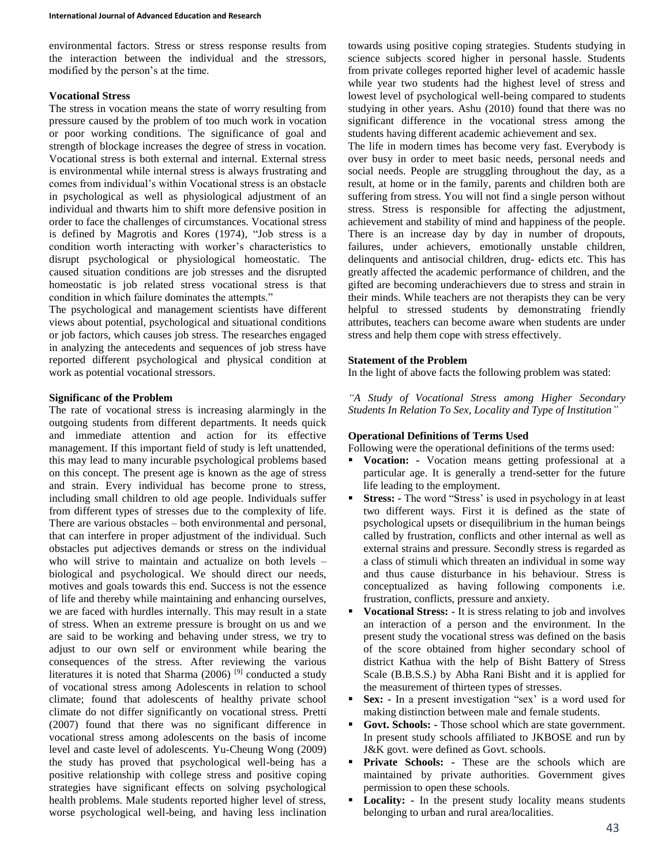environmental factors. Stress or stress response results from the interaction between the individual and the stressors, modified by the person's at the time.

# **Vocational Stress**

The stress in vocation means the state of worry resulting from pressure caused by the problem of too much work in vocation or poor working conditions. The significance of goal and strength of blockage increases the degree of stress in vocation. Vocational stress is both external and internal. External stress is environmental while internal stress is always frustrating and comes from individual's within Vocational stress is an obstacle in psychological as well as physiological adjustment of an individual and thwarts him to shift more defensive position in order to face the challenges of circumstances. Vocational stress is defined by Magrotis and Kores (1974), "Job stress is a condition worth interacting with worker's characteristics to disrupt psychological or physiological homeostatic. The caused situation conditions are job stresses and the disrupted homeostatic is job related stress vocational stress is that condition in which failure dominates the attempts."

The psychological and management scientists have different views about potential, psychological and situational conditions or job factors, which causes job stress. The researches engaged in analyzing the antecedents and sequences of job stress have reported different psychological and physical condition at work as potential vocational stressors.

# **Significanc of the Problem**

The rate of vocational stress is increasing alarmingly in the outgoing students from different departments. It needs quick and immediate attention and action for its effective management. If this important field of study is left unattended, this may lead to many incurable psychological problems based on this concept. The present age is known as the age of stress and strain. Every individual has become prone to stress, including small children to old age people. Individuals suffer from different types of stresses due to the complexity of life. There are various obstacles – both environmental and personal, that can interfere in proper adjustment of the individual. Such obstacles put adjectives demands or stress on the individual who will strive to maintain and actualize on both levels – biological and psychological. We should direct our needs, motives and goals towards this end. Success is not the essence of life and thereby while maintaining and enhancing ourselves, we are faced with hurdles internally. This may result in a state of stress. When an extreme pressure is brought on us and we are said to be working and behaving under stress, we try to adjust to our own self or environment while bearing the consequences of the stress. After reviewing the various literatures it is noted that Sharma (2006) [9] conducted a study of vocational stress among Adolescents in relation to school climate; found that adolescents of healthy private school climate do not differ significantly on vocational stress. Pretti (2007) found that there was no significant difference in vocational stress among adolescents on the basis of income level and caste level of adolescents. Yu-Cheung Wong (2009) the study has proved that psychological well-being has a positive relationship with college stress and positive coping strategies have significant effects on solving psychological health problems. Male students reported higher level of stress, worse psychological well-being, and having less inclination towards using positive coping strategies. Students studying in science subjects scored higher in personal hassle. Students from private colleges reported higher level of academic hassle while year two students had the highest level of stress and lowest level of psychological well-being compared to students studying in other years. Ashu (2010) found that there was no significant difference in the vocational stress among the students having different academic achievement and sex.

The life in modern times has become very fast. Everybody is over busy in order to meet basic needs, personal needs and social needs. People are struggling throughout the day, as a result, at home or in the family, parents and children both are suffering from stress. You will not find a single person without stress. Stress is responsible for affecting the adjustment, achievement and stability of mind and happiness of the people. There is an increase day by day in number of dropouts, failures, under achievers, emotionally unstable children, delinquents and antisocial children, drug- edicts etc. This has greatly affected the academic performance of children, and the gifted are becoming underachievers due to stress and strain in their minds. While teachers are not therapists they can be very helpful to stressed students by demonstrating friendly attributes, teachers can become aware when students are under stress and help them cope with stress effectively.

# **Statement of the Problem**

In the light of above facts the following problem was stated:

*"A Study of Vocational Stress among Higher Secondary Students In Relation To Sex, Locality and Type of Institution"*

# **Operational Definitions of Terms Used**

Following were the operational definitions of the terms used:

- **Vocation: -** Vocation means getting professional at a particular age. It is generally a trend-setter for the future life leading to the employment.
- **Stress: -** The word "Stress' is used in psychology in at least two different ways. First it is defined as the state of psychological upsets or disequilibrium in the human beings called by frustration, conflicts and other internal as well as external strains and pressure. Secondly stress is regarded as a class of stimuli which threaten an individual in some way and thus cause disturbance in his behaviour. Stress is conceptualized as having following components i.e. frustration, conflicts, pressure and anxiety.
- **Vocational Stress: -** It is stress relating to job and involves an interaction of a person and the environment. In the present study the vocational stress was defined on the basis of the score obtained from higher secondary school of district Kathua with the help of Bisht Battery of Stress Scale (B.B.S.S.) by Abha Rani Bisht and it is applied for the measurement of thirteen types of stresses.
- **Sex: -** In a present investigation "sex' is a word used for making distinction between male and female students.
- **Govt. Schools: -** Those school which are state government. In present study schools affiliated to JKBOSE and run by J&K govt. were defined as Govt. schools.
- **Private Schools: -** These are the schools which are maintained by private authorities. Government gives permission to open these schools.
- **Locality: -** In the present study locality means students belonging to urban and rural area/localities.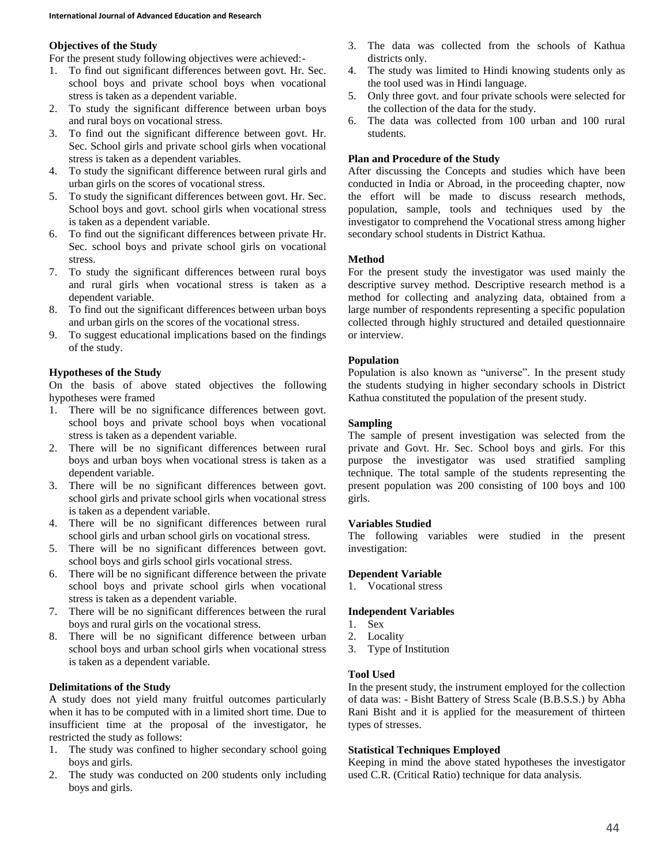# **Objectives of the Study**

For the present study following objectives were achieved:-

- 1. To find out significant differences between govt. Hr. Sec. school boys and private school boys when vocational stress is taken as a dependent variable.
- 2. To study the significant difference between urban boys and rural boys on vocational stress.
- 3. To find out the significant difference between govt. Hr. Sec. School girls and private school girls when vocational stress is taken as a dependent variables.
- 4. To study the significant difference between rural girls and urban girls on the scores of vocational stress.
- 5. To study the significant differences between govt. Hr. Sec. School boys and govt. school girls when vocational stress is taken as a dependent variable.
- 6. To find out the significant differences between private Hr. Sec. school boys and private school girls on vocational stress.
- 7. To study the significant differences between rural boys and rural girls when vocational stress is taken as a dependent variable.
- 8. To find out the significant differences between urban boys and urban girls on the scores of the vocational stress.
- 9. To suggest educational implications based on the findings of the study.

# **Hypotheses of the Study**

On the basis of above stated objectives the following hypotheses were framed

- 1. There will be no significance differences between govt. school boys and private school boys when vocational stress is taken as a dependent variable.
- 2. There will be no significant differences between rural boys and urban boys when vocational stress is taken as a dependent variable.
- 3. There will be no significant differences between govt. school girls and private school girls when vocational stress is taken as a dependent variable.
- 4. There will be no significant differences between rural school girls and urban school girls on vocational stress.
- 5. There will be no significant differences between govt. school boys and girls school girls vocational stress.
- 6. There will be no significant difference between the private school boys and private school girls when vocational stress is taken as a dependent variable.
- 7. There will be no significant differences between the rural boys and rural girls on the vocational stress.
- 8. There will be no significant difference between urban school boys and urban school girls when vocational stress is taken as a dependent variable.

# **Delimitations of the Study**

A study does not yield many fruitful outcomes particularly when it has to be computed with in a limited short time. Due to insufficient time at the proposal of the investigator, he restricted the study as follows:

- 1. The study was confined to higher secondary school going boys and girls.
- 2. The study was conducted on 200 students only including boys and girls.
- 3. The data was collected from the schools of Kathua districts only.
- 4. The study was limited to Hindi knowing students only as the tool used was in Hindi language.
- 5. Only three govt. and four private schools were selected for the collection of the data for the study.
- 6. The data was collected from 100 urban and 100 rural students.

# **Plan and Procedure of the Study**

After discussing the Concepts and studies which have been conducted in India or Abroad, in the proceeding chapter, now the effort will be made to discuss research methods, population, sample, tools and techniques used by the investigator to comprehend the Vocational stress among higher secondary school students in District Kathua.

# **Method**

For the present study the investigator was used mainly the descriptive survey method. Descriptive research method is a method for collecting and analyzing data, obtained from a large number of respondents representing a specific population collected through highly structured and detailed questionnaire or interview.

# **Population**

Population is also known as "universe". In the present study the students studying in higher secondary schools in District Kathua constituted the population of the present study.

# **Sampling**

The sample of present investigation was selected from the private and Govt. Hr. Sec. School boys and girls. For this purpose the investigator was used stratified sampling technique. The total sample of the students representing the present population was 200 consisting of 100 boys and 100 girls.

### **Variables Studied**

The following variables were studied in the present investigation:

### **Dependent Variable**

1. Vocational stress

### **Independent Variables**

- 1. Sex
- 2. Locality
- 3. Type of Institution

### **Tool Used**

In the present study, the instrument employed for the collection of data was: - Bisht Battery of Stress Scale (B.B.S.S.) by Abha Rani Bisht and it is applied for the measurement of thirteen types of stresses.

### **Statistical Techniques Employed**

Keeping in mind the above stated hypotheses the investigator used C.R. (Critical Ratio) technique for data analysis.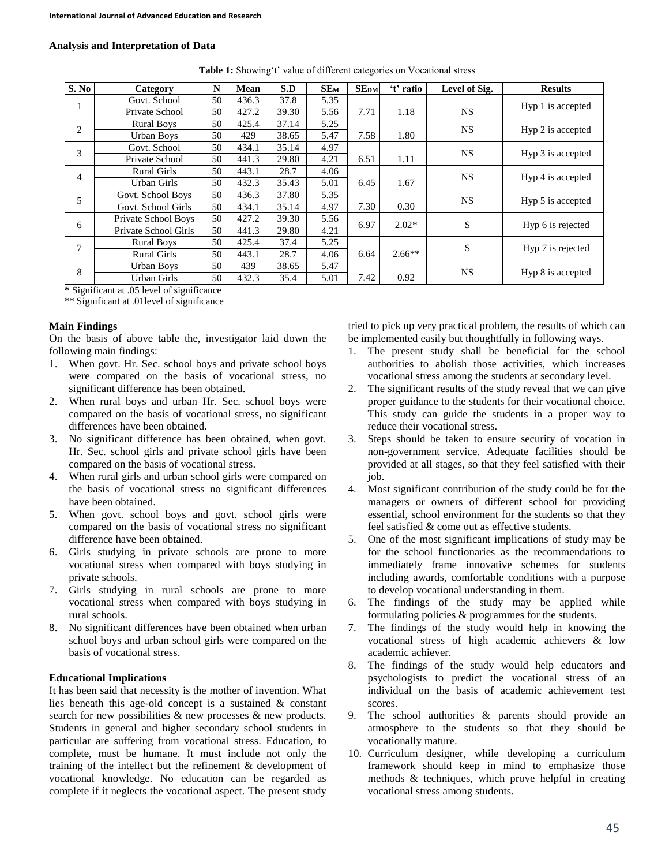# **Analysis and Interpretation of Data**

| S. No          | Category             | N  | Mean  | S.D   | $SE_{M}$ | <b>SEDM</b> | 't' ratio | Level of Sig. | <b>Results</b>    |
|----------------|----------------------|----|-------|-------|----------|-------------|-----------|---------------|-------------------|
| л              | Govt. School         | 50 | 436.3 | 37.8  | 5.35     |             |           |               |                   |
|                | Private School       | 50 | 427.2 | 39.30 | 5.56     | 7.71        | 1.18      | <b>NS</b>     | Hyp 1 is accepted |
| $\overline{2}$ | <b>Rural Boys</b>    | 50 | 425.4 | 37.14 | 5.25     |             |           | <b>NS</b>     | Hyp 2 is accepted |
|                | Urban Boys           | 50 | 429   | 38.65 | 5.47     | 7.58        | 1.80      |               |                   |
| 3              | Govt. School         | 50 | 434.1 | 35.14 | 4.97     |             |           | <b>NS</b>     | Hyp 3 is accepted |
|                | Private School       | 50 | 441.3 | 29.80 | 4.21     | 6.51        | 1.11      |               |                   |
| $\overline{4}$ | <b>Rural Girls</b>   | 50 | 443.1 | 28.7  | 4.06     |             |           | <b>NS</b>     | Hyp 4 is accepted |
|                | Urban Girls          | 50 | 432.3 | 35.43 | 5.01     | 6.45        | 1.67      |               |                   |
| 5              | Govt. School Boys    | 50 | 436.3 | 37.80 | 5.35     |             |           | <b>NS</b>     | Hyp 5 is accepted |
|                | Govt. School Girls   | 50 | 434.1 | 35.14 | 4.97     | 7.30        | 0.30      |               |                   |
| 6              | Private School Boys  | 50 | 427.2 | 39.30 | 5.56     | 6.97        | $2.02*$   | S             | Hyp 6 is rejected |
|                | Private School Girls | 50 | 441.3 | 29.80 | 4.21     |             |           |               |                   |
| 7              | <b>Rural Boys</b>    | 50 | 425.4 | 37.4  | 5.25     |             |           | S             | Hyp 7 is rejected |
|                | <b>Rural Girls</b>   | 50 | 443.1 | 28.7  | 4.06     | 6.64        | $2.66**$  |               |                   |
| 8              | Urban Boys           | 50 | 439   | 38.65 | 5.47     |             |           | <b>NS</b>     | Hyp 8 is accepted |
|                | Urban Girls          | 50 | 432.3 | 35.4  | 5.01     | 7.42        | 0.92      |               |                   |

**Table 1:** Showing't' value of different categories on Vocational stress

**\*** Significant at .05 level of significance

\*\* Significant at .01level of significance

### **Main Findings**

On the basis of above table the, investigator laid down the following main findings:

- 1. When govt. Hr. Sec. school boys and private school boys were compared on the basis of vocational stress, no significant difference has been obtained.
- 2. When rural boys and urban Hr. Sec. school boys were compared on the basis of vocational stress, no significant differences have been obtained.
- 3. No significant difference has been obtained, when govt. Hr. Sec. school girls and private school girls have been compared on the basis of vocational stress.
- 4. When rural girls and urban school girls were compared on the basis of vocational stress no significant differences have been obtained.
- 5. When govt. school boys and govt. school girls were compared on the basis of vocational stress no significant difference have been obtained.
- 6. Girls studying in private schools are prone to more vocational stress when compared with boys studying in private schools.
- 7. Girls studying in rural schools are prone to more vocational stress when compared with boys studying in rural schools.
- 8. No significant differences have been obtained when urban school boys and urban school girls were compared on the basis of vocational stress.

### **Educational Implications**

It has been said that necessity is the mother of invention. What lies beneath this age-old concept is a sustained & constant search for new possibilities & new processes & new products. Students in general and higher secondary school students in particular are suffering from vocational stress. Education, to complete, must be humane. It must include not only the training of the intellect but the refinement & development of vocational knowledge. No education can be regarded as complete if it neglects the vocational aspect. The present study

tried to pick up very practical problem, the results of which can be implemented easily but thoughtfully in following ways.

- 1. The present study shall be beneficial for the school authorities to abolish those activities, which increases vocational stress among the students at secondary level.
- 2. The significant results of the study reveal that we can give proper guidance to the students for their vocational choice. This study can guide the students in a proper way to reduce their vocational stress.
- 3. Steps should be taken to ensure security of vocation in non-government service. Adequate facilities should be provided at all stages, so that they feel satisfied with their job.
- 4. Most significant contribution of the study could be for the managers or owners of different school for providing essential, school environment for the students so that they feel satisfied & come out as effective students.
- 5. One of the most significant implications of study may be for the school functionaries as the recommendations to immediately frame innovative schemes for students including awards, comfortable conditions with a purpose to develop vocational understanding in them.
- 6. The findings of the study may be applied while formulating policies & programmes for the students.
- 7. The findings of the study would help in knowing the vocational stress of high academic achievers & low academic achiever.
- 8. The findings of the study would help educators and psychologists to predict the vocational stress of an individual on the basis of academic achievement test scores.
- 9. The school authorities & parents should provide an atmosphere to the students so that they should be vocationally mature.
- 10. Curriculum designer, while developing a curriculum framework should keep in mind to emphasize those methods & techniques, which prove helpful in creating vocational stress among students.